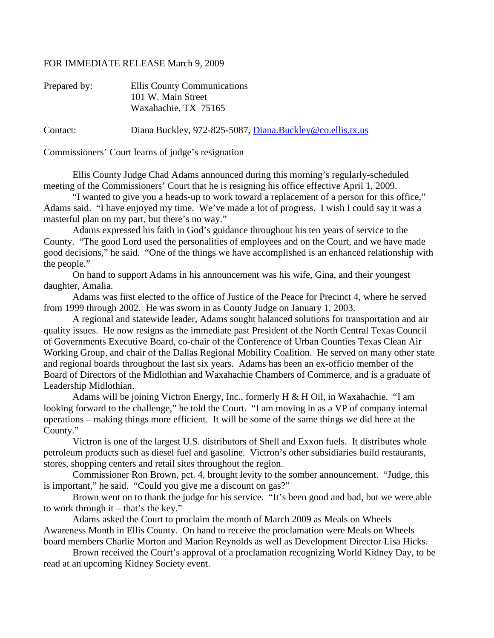## FOR IMMEDIATE RELEASE March 9, 2009

| Prepared by: | Ellis County Communications<br>101 W. Main Street<br>Waxahachie, TX 75165 |
|--------------|---------------------------------------------------------------------------|
| Contact:     | Diana Buckley, 972-825-5087, Diana.Buckley@co.ellis.tx.us                 |

Commissioners' Court learns of judge's resignation

Ellis County Judge Chad Adams announced during this morning's regularly-scheduled meeting of the Commissioners' Court that he is resigning his office effective April 1, 2009.

"I wanted to give you a heads-up to work toward a replacement of a person for this office," Adams said. "I have enjoyed my time. We've made a lot of progress. I wish I could say it was a masterful plan on my part, but there's no way."

Adams expressed his faith in God's guidance throughout his ten years of service to the County. "The good Lord used the personalities of employees and on the Court, and we have made good decisions," he said. "One of the things we have accomplished is an enhanced relationship with the people."

On hand to support Adams in his announcement was his wife, Gina, and their youngest daughter, Amalia.

Adams was first elected to the office of Justice of the Peace for Precinct 4, where he served from 1999 through 2002. He was sworn in as County Judge on January 1, 2003.

A regional and statewide leader, Adams sought balanced solutions for transportation and air quality issues. He now resigns as the immediate past President of the North Central Texas Council of Governments Executive Board, co-chair of the Conference of Urban Counties Texas Clean Air Working Group, and chair of the Dallas Regional Mobility Coalition. He served on many other state and regional boards throughout the last six years. Adams has been an ex-officio member of the Board of Directors of the Midlothian and Waxahachie Chambers of Commerce, and is a graduate of Leadership Midlothian.

Adams will be joining Victron Energy, Inc., formerly H & H Oil, in Waxahachie. "I am looking forward to the challenge," he told the Court. "I am moving in as a VP of company internal operations – making things more efficient. It will be some of the same things we did here at the County."

Victron is one of the largest U.S. distributors of Shell and Exxon fuels. It distributes whole petroleum products such as diesel fuel and gasoline. Victron's other subsidiaries build restaurants, stores, shopping centers and retail sites throughout the region.

Commissioner Ron Brown, pct. 4, brought levity to the somber announcement. "Judge, this is important," he said. "Could you give me a discount on gas?"

Brown went on to thank the judge for his service. "It's been good and bad, but we were able to work through it – that's the key."

Adams asked the Court to proclaim the month of March 2009 as Meals on Wheels Awareness Month in Ellis County. On hand to receive the proclamation were Meals on Wheels board members Charlie Morton and Marion Reynolds as well as Development Director Lisa Hicks.

Brown received the Court's approval of a proclamation recognizing World Kidney Day, to be read at an upcoming Kidney Society event.